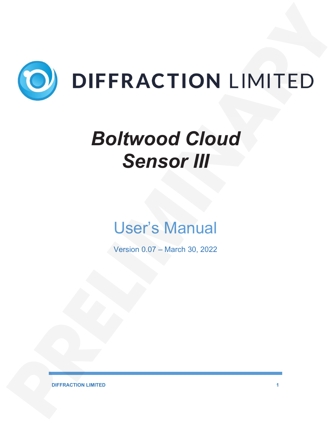

# *Boltwood Cloud Sensor III*

## User's Manual

Version 0.07 – March 30, 2022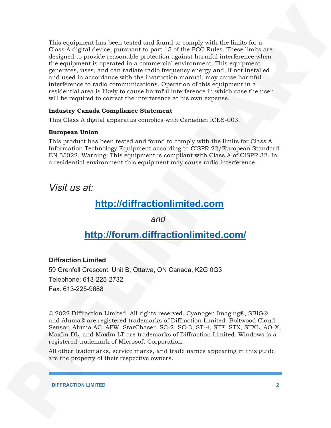This equipment has been tested and found to comply with the limits for a Class A digital device, pursuant to part 15 of the FCC Rules. These limits are designed to provide reasonable protection against harmful interference when the equipment is operated in a commercial environment. This equipment generates, uses, and can radiate radio frequency energy and, if not installed and used in accordance with the instruction manual, may cause harmful interference to radio communications. Operation of this equipment in a residential area is likely to cause harmful interference in which case the user will be required to correct the interference at his own expense.

#### **Industry Canada Compliance Statement**

This Class A digital apparatus complies with Canadian ICES-003.

#### **European Union**

This product has been tested and found to comply with the limits for Class A Information Technology Equipment according to CISPR 22/European Standard EN 55022. Warning: This equipment is compliant with Class A of CISPR 32. In a residential environment this equipment may cause radio interference.

*Visit us at:*

## **http://diffractionlimited.com**

*and*

### **http://forum.diffractionlimited.com/**

#### **Diffraction Limited**

59 Grenfell Crescent, Unit B, Ottawa, ON Canada, K2G 0G3 Telephone: 613-225-2732 Fax: 613-225-9688

© 2022 Diffraction Limited. All rights reserved. Cyanogen Imaging®, SBIG®, and Aluma® are registered trademarks of Diffraction Limited. Boltwood Cloud Sensor, Aluma AC, AFW, StarChaser, SC-2, SC-3, ST-4, STF, STX, STXL, AO-X, MaxIm DL, and MaxIm LT are trademarks of Diffraction Limited. Windows is a registered trademark of Microsoft Corporation.

All other trademarks, service marks, and trade names appearing in this guide are the property of their respective owners.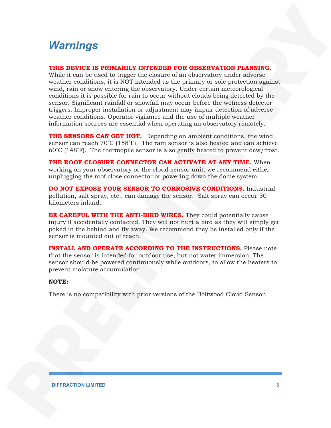## *Warnings*

#### **THIS DEVICE IS PRIMARILY INTENDED FOR OBSERVATION PLANNING.**

While it can be used to trigger the closure of an observatory under adverse weather conditions, it is NOT intended as the primary or sole protection against wind, rain or snow entering the observatory. Under certain meteorological conditions it is possible for rain to occur without clouds being detected by the sensor. Significant rainfall or snowfall may occur before the wetness detector triggers. Improper installation or adjustment may impair detection of adverse weather conditions. Operator vigilance and the use of multiple weather information sources are essential when operating an observatory remotely.

**THE SENSORS CAN GET HOT.** Depending on ambient conditions, the wind sensor can reach  $70^{\circ}$ C (158 $^{\circ}$ F). The rain sensor is also heated and can achieve 60˚C (148˚F). The thermopile sensor is also gently heated to prevent dew/frost.

**THE ROOF CLOSURE CONNECTOR CAN ACTIVATE AT ANY TIME.** When working on your observatory or the cloud sensor unit, we recommend either unplugging the roof close connector or powering down the dome system.

**DO NOT EXPOSE YOUR SENSOR TO CORROSIVE CONDITIONS.** Industrial pollution, salt spray, etc., can damage the sensor. Salt spray can occur 30 kilometers inland.

**BE CAREFUL WITH THE ANTI-BIRD WIRES.** They could potentially cause injury if accidentally contacted. They will not hurt a bird as they will simply get poked in the behind and fly away. We recommend they be installed only if the sensor is mounted out of reach.

**INSTALL AND OPERATE ACCORDING TO THE INSTRUCTIONS.** Please note that the sensor is intended for outdoor use, but not water immersion. The sensor should be powered continuously while outdoors, to allow the heaters to prevent moisture accumulation.

#### **NOTE:**

There is no compatibility with prior versions of the Boltwood Cloud Sensor.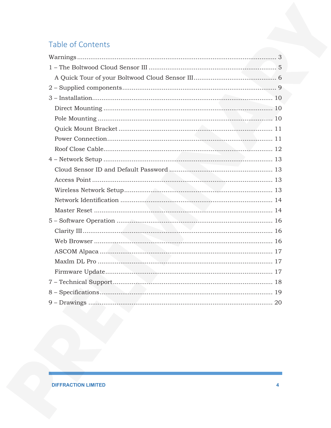## Table of Contents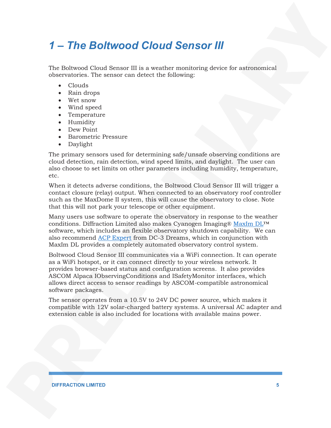## *1 – The Boltwood Cloud Sensor III*

The Boltwood Cloud Sensor III is a weather monitoring device for astronomical observatories. The sensor can detect the following:

- Clouds
- Rain drops
- Wet snow
- Wind speed
- Temperature
- Humidity
- Dew Point
- Barometric Pressure
- Daylight

The primary sensors used for determining safe/unsafe observing conditions are cloud detection, rain detection, wind speed limits, and daylight. The user can also choose to set limits on other parameters including humidity, temperature, etc.

When it detects adverse conditions, the Boltwood Cloud Sensor III will trigger a contact closure (relay) output. When connected to an observatory roof controller such as the MaxDome II system, this will cause the observatory to close. Note that this will not park your telescope or other equipment.

Many users use software to operate the observatory in response to the weather conditions. Diffraction Limited also makes Cyanogen Imaging® MaxIm DL™ software, which includes an flexible observatory shutdown capability. We can also recommend ACP Expert from DC-3 Dreams, which in conjunction with MaxIm DL provides a completely automated observatory control system.

Boltwood Cloud Sensor III communicates via a WiFi connection. It can operate as a WiFi hotspot, or it can connect directly to your wireless network. It provides browser-based status and configuration screens. It also provides ASCOM Alpaca IObservingConditions and ISafetyMonitor interfaces, which allows direct access to sensor readings by ASCOM-compatible astronomical software packages.

The sensor operates from a 10.5V to 24V DC power source, which makes it compatible with 12V solar-charged battery systems. A universal AC adapter and extension cable is also included for locations with available mains power.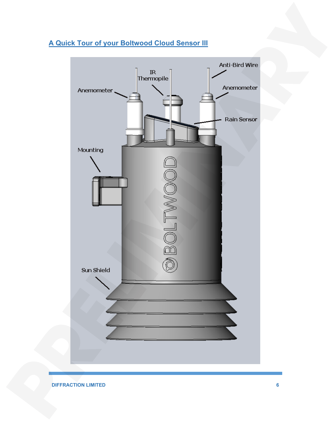#### **A Quick Tour of your Boltwood Cloud Sensor III**

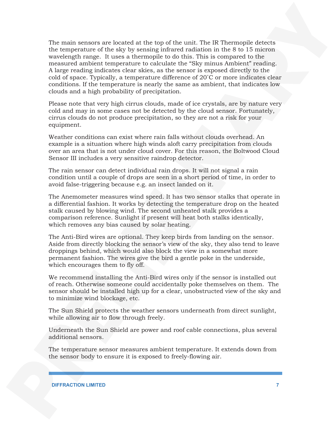The main sensors are located at the top of the unit. The IR Thermopile detects the temperature of the sky by sensing infrared radiation in the 8 to 15 micron wavelength range. It uses a thermopile to do this. This is compared to the measured ambient temperature to calculate the "Sky minus Ambient" reading. A large reading indicates clear skies, as the sensor is exposed directly to the cold of space. Typically, a temperature difference of 20˚C or more indicates clear conditions. If the temperature is nearly the same as ambient, that indicates low clouds and a high probability of precipitation.

Please note that very high cirrus clouds, made of ice crystals, are by nature very cold and may in some cases not be detected by the cloud sensor. Fortunately, cirrus clouds do not produce precipitation, so they are not a risk for your equipment.

Weather conditions can exist where rain falls without clouds overhead. An example is a situation where high winds aloft carry precipitation from clouds over an area that is not under cloud cover. For this reason, the Boltwood Cloud Sensor III includes a very sensitive raindrop detector.

The rain sensor can detect individual rain drops. It will not signal a rain condition until a couple of drops are seen in a short period of time, in order to avoid false-triggering because e.g. an insect landed on it.

The Anemometer measures wind speed. It has two sensor stalks that operate in a differential fashion. It works by detecting the temperature drop on the heated stalk caused by blowing wind. The second unheated stalk provides a comparison reference. Sunlight if present will heat both stalks identically, which removes any bias caused by solar heating.

The Anti-Bird wires are optional. They keep birds from landing on the sensor. Aside from directly blocking the sensor's view of the sky, they also tend to leave droppings behind, which would also block the view in a somewhat more permanent fashion. The wires give the bird a gentle poke in the underside, which encourages them to fly off.

We recommend installing the Anti-Bird wires only if the sensor is installed out of reach. Otherwise someone could accidentally poke themselves on them. The sensor should be installed high up for a clear, unobstructed view of the sky and to minimize wind blockage, etc.

The Sun Shield protects the weather sensors underneath from direct sunlight, while allowing air to flow through freely.

Underneath the Sun Shield are power and roof cable connections, plus several additional sensors.

The temperature sensor measures ambient temperature. It extends down from the sensor body to ensure it is exposed to freely-flowing air.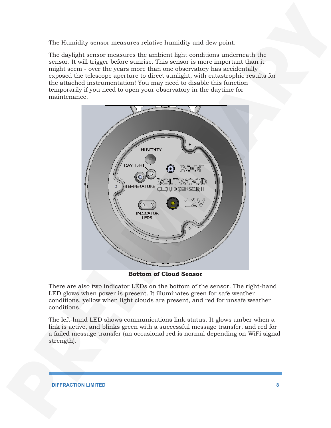The Humidity sensor measures relative humidity and dew point.

The daylight sensor measures the ambient light conditions underneath the sensor. It will trigger before sunrise. This sensor is more important than it might seem - over the years more than one observatory has accidentally exposed the telescope aperture to direct sunlight, with catastrophic results for the attached instrumentation! You may need to disable this function temporarily if you need to open your observatory in the daytime for maintenance.



**Bottom of Cloud Sensor**

There are also two indicator LEDs on the bottom of the sensor. The right-hand LED glows when power is present. It illuminates green for safe weather conditions, yellow when light clouds are present, and red for unsafe weather conditions.

The left-hand LED shows communications link status. It glows amber when a link is active, and blinks green with a successful message transfer, and red for a failed message transfer (an occasional red is normal depending on WiFi signal strength).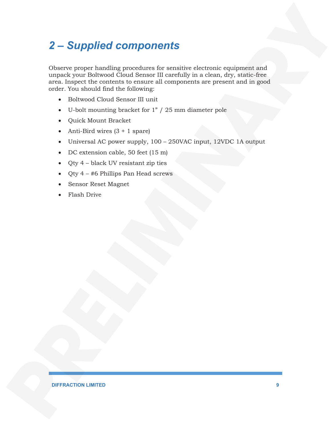## *2 – Supplied components*

Observe proper handling procedures for sensitive electronic equipment and unpack your Boltwood Cloud Sensor III carefully in a clean, dry, static-free area. Inspect the contents to ensure all components are present and in good order. You should find the following:

- Boltwood Cloud Sensor III unit
- U-bolt mounting bracket for 1" / 25 mm diameter pole
- Quick Mount Bracket
- Anti-Bird wires  $(3 + 1)$  spare)
- Universal AC power supply, 100 250VAC input, 12VDC 1A output
- DC extension cable, 50 feet (15 m)
- Qty 4 black UV resistant zip ties
- Qty  $4 #6$  Phillips Pan Head screws
- Sensor Reset Magnet
- Flash Drive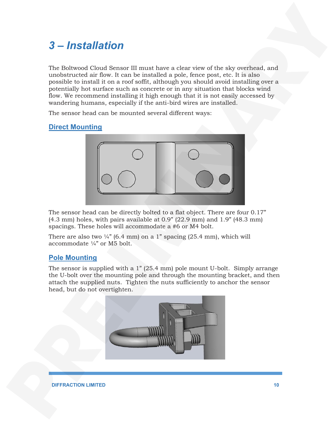## *3 – Installation*

The Boltwood Cloud Sensor III must have a clear view of the sky overhead, and unobstructed air flow. It can be installed a pole, fence post, etc. It is also possible to install it on a roof soffit, although you should avoid installing over a potentially hot surface such as concrete or in any situation that blocks wind flow. We recommend installing it high enough that it is not easily accessed by wandering humans, especially if the anti-bird wires are installed.

The sensor head can be mounted several different ways:

#### **Direct Mounting**



The sensor head can be directly bolted to a flat object. There are four 0.17"  $(4.3 \text{ mm})$  holes, with pairs available at  $0.9$ "  $(22.9 \text{ mm})$  and  $1.9$ "  $(48.3 \text{ mm})$ spacings. These holes will accommodate a #6 or M4 bolt.

There are also two  $\frac{1}{4}$ " (6.4 mm) on a 1" spacing (25.4 mm), which will accommodate ¼" or M5 bolt.

#### **Pole Mounting**

The sensor is supplied with a 1" (25.4 mm) pole mount U-bolt. Simply arrange the U-bolt over the mounting pole and through the mounting bracket, and then attach the supplied nuts. Tighten the nuts sufficiently to anchor the sensor head, but do not overtighten.

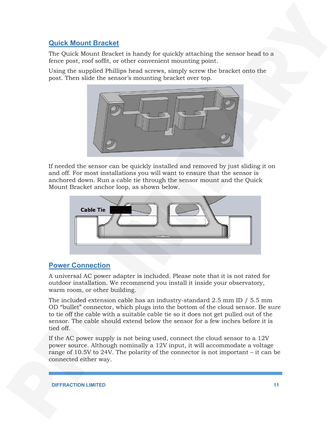#### **Quick Mount Bracket**

The Quick Mount Bracket is handy for quickly attaching the sensor head to a fence post, roof soffit, or other convenient mounting point.

Using the supplied Phillips head screws, simply screw the bracket onto the post. Then slide the sensor's mounting bracket over top.



If needed the sensor can be quickly installed and removed by just sliding it on and off. For most installations you will want to ensure that the sensor is anchored down. Run a cable tie through the sensor mount and the Quick Mount Bracket anchor loop, as shown below.



#### **Power Connection**

A universal AC power adapter is included. Please note that it is not rated for outdoor installation. We recommend you install it inside your observatory, warm room, or other building.

The included extension cable has an industry-standard 2.5 mm ID / 5.5 mm OD "bullet" connector, which plugs into the bottom of the cloud sensor. Be sure to tie off the cable with a suitable cable tie so it does not get pulled out of the sensor. The cable should extend below the sensor for a few inches before it is tied off.

If the AC power supply is not being used, connect the cloud sensor to a 12V power source. Although nominally a 12V input, it will accommodate a voltage range of 10.5V to 24V. The polarity of the connector is not important – it can be connected either way.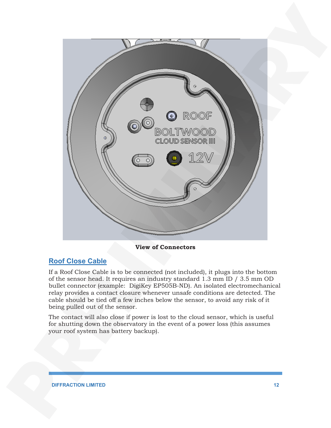

**View of Connectors**

#### **Roof Close Cable**

If a Roof Close Cable is to be connected (not included), it plugs into the bottom of the sensor head. It requires an industry standard 1.3 mm ID / 3.5 mm OD bullet connector (example: DigiKey EP505B-ND). An isolated electromechanical relay provides a contact closure whenever unsafe conditions are detected. The cable should be tied off a few inches below the sensor, to avoid any risk of it being pulled out of the sensor.

The contact will also close if power is lost to the cloud sensor, which is useful for shutting down the observatory in the event of a power loss (this assumes your roof system has battery backup).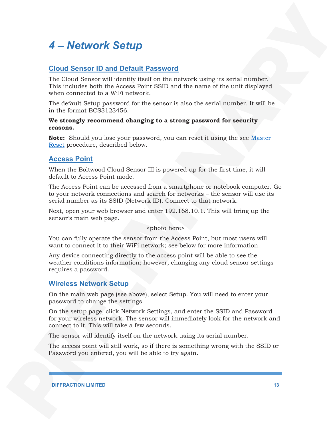## *4 – Network Setup*

#### **Cloud Sensor ID and Default Password**

The Cloud Sensor will identify itself on the network using its serial number. This includes both the Access Point SSID and the name of the unit displayed when connected to a WiFi network.

The default Setup password for the sensor is also the serial number. It will be in the format BCS3123456.

#### **We strongly recommend changing to a strong password for security reasons.**

**Note:** Should you lose your password, you can reset it using the see Master Reset procedure, described below.

#### **Access Point**

When the Boltwood Cloud Sensor III is powered up for the first time, it will default to Access Point mode.

The Access Point can be accessed from a smartphone or notebook computer. Go to your network connections and search for networks – the sensor will use its serial number as its SSID (Network ID). Connect to that network.

Next, open your web browser and enter 192.168.10.1. This will bring up the sensor's main web page.

<photo here>

You can fully operate the sensor from the Access Point, but most users will want to connect it to their WiFi network; see below for more information.

Any device connecting directly to the access point will be able to see the weather conditions information; however, changing any cloud sensor settings requires a password.

#### **Wireless Network Setup**

On the main web page (see above), select Setup. You will need to enter your password to change the settings.

On the setup page, click Network Settings, and enter the SSID and Password for your wireless network. The sensor will immediately look for the network and connect to it. This will take a few seconds.

The sensor will identify itself on the network using its serial number.

The access point will still work, so if there is something wrong with the SSID or Password you entered, you will be able to try again.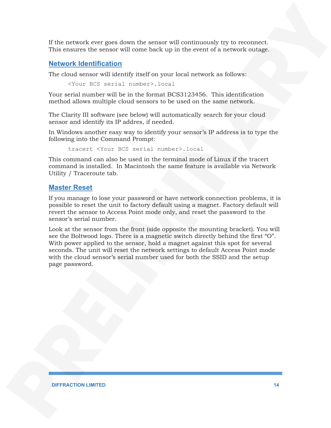If the network ever goes down the sensor will continuously try to reconnect. This ensures the sensor will come back up in the event of a network outage.

#### **Network Identification**

The cloud sensor will identify itself on your local network as follows:

<Your BCS serial number>.local

Your serial number will be in the format BCS3123456. This identification method allows multiple cloud sensors to be used on the same network.

The Clarity III software (see below) will automatically search for your cloud sensor and identify its IP addres, if needed.

In Windows another easy way to identify your sensor's IP address is to type the following into the Command Prompt:

tracert <Your BCS serial number>.local

This command can also be used in the terminal mode of Linux if the tracert command is installed. In Macintosh the same feature is available via Network Utility / Traceroute tab.

#### **Master Reset**

If you manage to lose your password or have network connection problems, it is possible to reset the unit to factory default using a magnet. Factory default will revert the sensor to Access Point mode only, and reset the password to the sensor's serial number.

Look at the sensor from the front (side opposite the mounting bracket). You will see the Boltwood logo. There is a magnetic switch directly behind the first "O". With power applied to the sensor, hold a magnet against this spot for several seconds. The unit will reset the network settings to default Access Point mode with the cloud sensor's serial number used for both the SSID and the setup page password.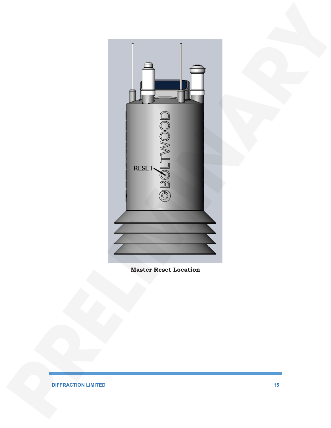

**Master Reset Location**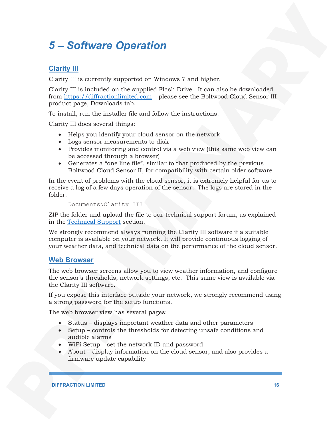## *5 – Software Operation*

#### **Clarity III**

Clarity III is currently supported on Windows 7 and higher.

Clarity III is included on the supplied Flash Drive. It can also be downloaded from https://diffractionlimited.com – please see the Boltwood Cloud Sensor III product page, Downloads tab.

To install, run the installer file and follow the instructions.

Clarity III does several things:

- Helps you identify your cloud sensor on the network
- Logs sensor measurements to disk
- Provides monitoring and control via a web view (this same web view can be accessed through a browser)
- Generates a "one line file", similar to that produced by the previous Boltwood Cloud Sensor II, for compatibility with certain older software

In the event of problems with the cloud sensor, it is extremely helpful for us to receive a log of a few days operation of the sensor. The logs are stored in the folder:

```
Documents\Clarity III
```
ZIP the folder and upload the file to our technical support forum, as explained in the Technical Support section.

We strongly recommend always running the Clarity III software if a suitable computer is available on your network. It will provide continuous logging of your weather data, and technical data on the performance of the cloud sensor.

#### **Web Browser**

The web browser screens allow you to view weather information, and configure the sensor's thresholds, network settings, etc. This same view is available via the Clarity III software.

If you expose this interface outside your network, we strongly recommend using a strong password for the setup functions.

The web browser view has several pages:

- Status displays important weather data and other parameters
- Setup controls the thresholds for detecting unsafe conditions and audible alarms
- WiFi Setup set the network ID and password
- About display information on the cloud sensor, and also provides a firmware update capability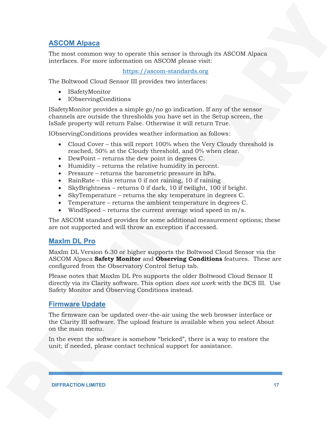#### **ASCOM Alpaca**

The most common way to operate this sensor is through its ASCOM Alpaca interfaces. For more information on ASCOM please visit:

#### https://ascom-standards.org

The Boltwood Cloud Sensor III provides two interfaces:

- ISafetyMonitor
- IObservingConditions

ISafetyMonitor provides a simple go/no go indication. If any of the sensor channels are outside the thresholds you have set in the Setup screen, the IsSafe property will return False. Otherwise it will return True.

IObservingConditions provides weather information as follows:

- Cloud Cover this will report 100% when the Very Cloudy threshold is reached, 50% at the Cloudy threshold, and 0% when clear.
- DewPoint returns the dew point in degrees C.
- Humidity returns the relative humidity in percent.
- Pressure returns the barometric pressure in hPa.
- RainRate this returns 0 if not raining, 10 if raining
- SkyBrightness returns 0 if dark, 10 if twilight, 100 if bright.
- SkyTemperature returns the sky temperature in degrees C.
- Temperature returns the ambient temperature in degrees C.
- WindSpeed returns the current average wind speed in m/s.

The ASCOM standard provides for some additional measurement options; these are not supported and will throw an exception if accessed.

#### **MaxIm DL Pro**

MaxIm DL Version 6.30 or higher supports the Boltwood Cloud Sensor via the ASCOM Alpaca **Safety Monitor** and **Observing Conditions** features. These are configured from the Observatory Control Setup tab.

Please notes that MaxIm DL Pro supports the older Boltwood Cloud Sensor II directly via its Clarity software. This option *does not work* with the BCS III. Use Safety Monitor and Observing Conditions instead.

#### **Firmware Update**

The firmware can be updated over-the-air using the web browser interface or the Clarity III software. The upload feature is available when you select About on the main menu.

In the event the software is somehow "bricked", there is a way to restore the unit; if needed, please contact technical support for assistance.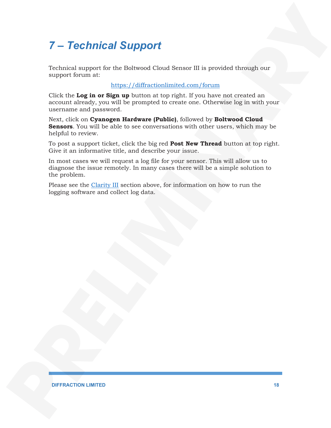## *7 – Technical Support*

Technical support for the Boltwood Cloud Sensor III is provided through our support forum at:

#### https://diffractionlimited.com/forum

Click the **Log in or Sign up** button at top right. If you have not created an account already, you will be prompted to create one. Otherwise log in with your username and password.

Next, click on **Cyanogen Hardware (Public)**, followed by **Boltwood Cloud Sensors**. You will be able to see conversations with other users, which may be helpful to review.

To post a support ticket, click the big red **Post New Thread** button at top right. Give it an informative title, and describe your issue.

In most cases we will request a log file for your sensor. This will allow us to diagnose the issue remotely. In many cases there will be a simple solution to the problem.

Please see the Clarity III section above, for information on how to run the logging software and collect log data.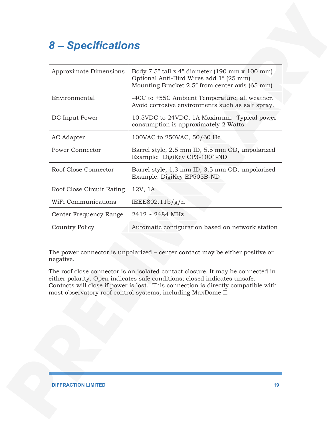## *8 – Specifications*

| Approximate Dimensions    | Body 7.5" tall $x$ 4" diameter (190 mm $x$ 100 mm)<br>Optional Anti-Bird Wires add 1" (25 mm)<br>Mounting Bracket 2.5" from center axis (65 mm) |  |
|---------------------------|-------------------------------------------------------------------------------------------------------------------------------------------------|--|
| Environmental             | -40C to +55C Ambient Temperature, all weather.<br>Avoid corrosive environments such as salt spray.                                              |  |
| DC Input Power            | 10.5VDC to 24VDC, 1A Maximum. Typical power<br>consumption is approximately 2 Watts.                                                            |  |
| AC Adapter                | 100VAC to 250VAC, 50/60 Hz                                                                                                                      |  |
| Power Connector           | Barrel style, 2.5 mm ID, 5.5 mm OD, unpolarized<br>Example: DigiKey CP3-1001-ND                                                                 |  |
| Roof Close Connector      | Barrel style, 1.3 mm ID, 3.5 mm OD, unpolarized<br>Example: DigiKey EP505B-ND                                                                   |  |
| Roof Close Circuit Rating | $12V$ , $1A$                                                                                                                                    |  |
| WiFi Communications       | IEEE802.11b/g/n                                                                                                                                 |  |
| Center Frequency Range    | $2412 \sim 2484 \text{ MHz}$                                                                                                                    |  |
| Country Policy            | Automatic configuration based on network station                                                                                                |  |

The power connector is unpolarized – center contact may be either positive or negative.

The roof close connector is an isolated contact closure. It may be connected in either polarity. Open indicates safe conditions; closed indicates unsafe. Contacts will close if power is lost. This connection is directly compatible with most observatory roof control systems, including MaxDome II.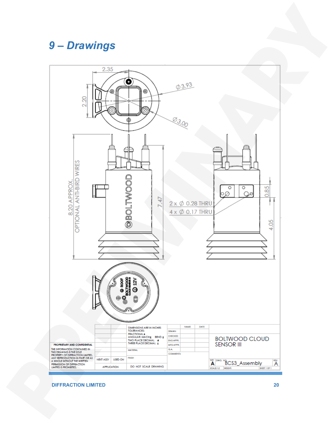## *9 – Drawings*

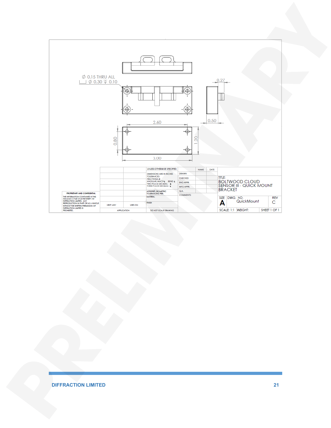